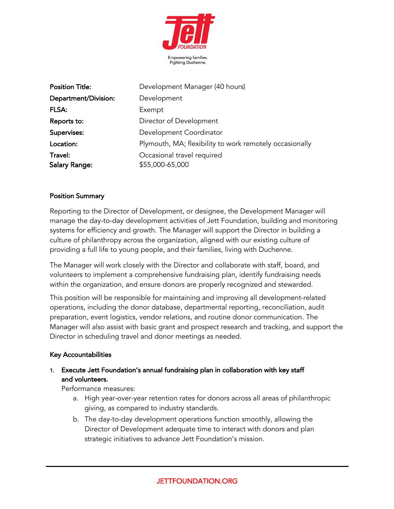

| <b>Position Title:</b> | Development Manager (40 hours)                          |
|------------------------|---------------------------------------------------------|
| Department/Division:   | Development                                             |
| FLSA:                  | Exempt                                                  |
| Reports to:            | Director of Development                                 |
| Supervises:            | Development Coordinator                                 |
| Location:              | Plymouth, MA; flexibility to work remotely occasionally |
| Travel:                | Occasional travel required                              |
| <b>Salary Range:</b>   | \$55,000-65,000                                         |

#### Position Summary

Reporting to the Director of Development, or designee, the Development Manager will manage the day-to-day development activities of Jett Foundation, building and monitoring systems for efficiency and growth. The Manager will support the Director in building a culture of philanthropy across the organization, aligned with our existing culture of providing a full life to young people, and their families, living with Duchenne.

The Manager will work closely with the Director and collaborate with staff, board, and volunteers to implement a comprehensive fundraising plan, identify fundraising needs within the organization, and ensure donors are properly recognized and stewarded.

This position will be responsible for maintaining and improving all development-related operations, including the donor database, departmental reporting, reconciliation, audit preparation, event logistics, vendor relations, and routine donor communication. The Manager will also assist with basic grant and prospect research and tracking, and support the Director in scheduling travel and donor meetings as needed.

#### Key Accountabilities

### 1. Execute Jett Foundation's annual fundraising plan in collaboration with key staff and volunteers.

Performance measures:

- a. High year-over-year retention rates for donors across all areas of philanthropic giving, as compared to industry standards.
- b. The day-to-day development operations function smoothly, allowing the Director of Development adequate time to interact with donors and plan strategic initiatives to advance Jett Foundation's mission.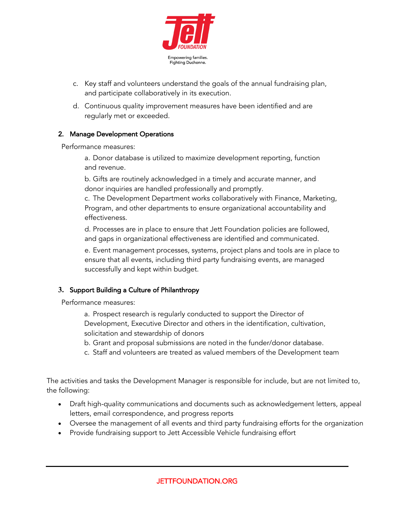

- c. Key staff and volunteers understand the goals of the annual fundraising plan, and participate collaboratively in its execution.
- d. Continuous quality improvement measures have been identified and are regularly met or exceeded.

### 2. Manage Development Operations

Performance measures:

a. Donor database is utilized to maximize development reporting, function and revenue.

b. Gifts are routinely acknowledged in a timely and accurate manner, and donor inquiries are handled professionally and promptly.

c. The Development Department works collaboratively with Finance, Marketing, Program, and other departments to ensure organizational accountability and effectiveness.

d. Processes are in place to ensure that Jett Foundation policies are followed, and gaps in organizational effectiveness are identified and communicated.

e. Event management processes, systems, project plans and tools are in place to ensure that all events, including third party fundraising events, are managed successfully and kept within budget.

# **3.** Support Building a Culture of Philanthropy

Performance measures:

a. Prospect research is regularly conducted to support the Director of Development, Executive Director and others in the identification, cultivation, solicitation and stewardship of donors

- b. Grant and proposal submissions are noted in the funder/donor database.
- c. Staff and volunteers are treated as valued members of the Development team

The activities and tasks the Development Manager is responsible for include, but are not limited to, the following:

- Draft high-quality communications and documents such as acknowledgement letters, appeal letters, email correspondence, and progress reports
- Oversee the management of all events and third party fundraising efforts for the organization
- Provide fundraising support to Jett Accessible Vehicle fundraising effort